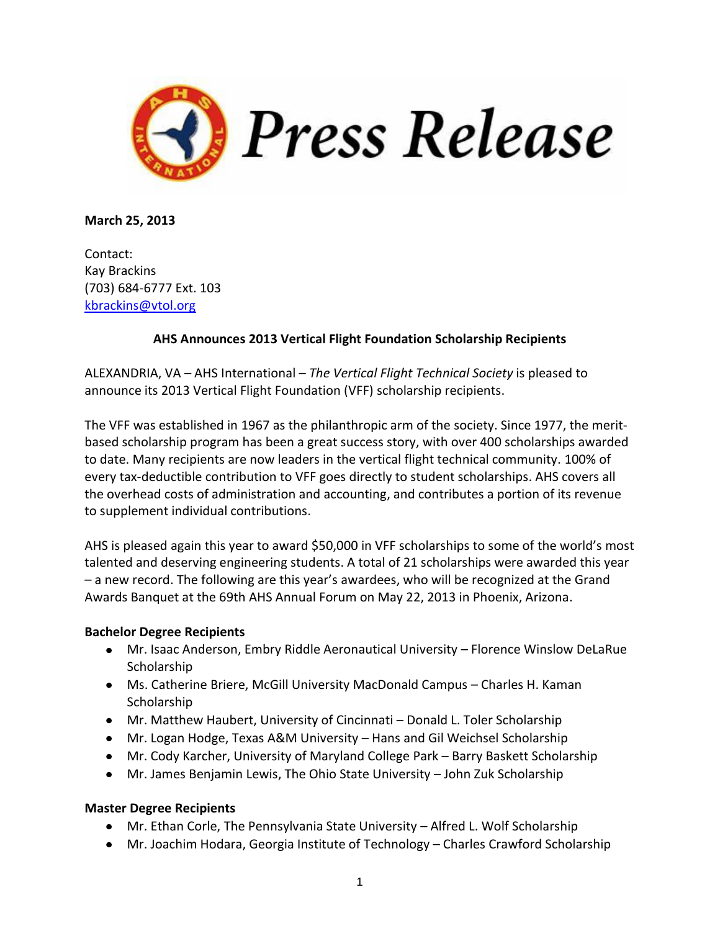

**March 25, 2013**

Contact: Kay Brackins (703) 684-6777 Ext. 103 [kbrackins@vtol.org](mailto:kbrackins@vtol.org)

## **AHS Announces 2013 Vertical Flight Foundation Scholarship Recipients**

ALEXANDRIA, VA – AHS International – *The Vertical Flight Technical Society* is pleased to announce its 2013 Vertical Flight Foundation (VFF) scholarship recipients.

The VFF was established in 1967 as the philanthropic arm of the society. Since 1977, the meritbased scholarship program has been a great success story, with over 400 scholarships awarded to date. Many recipients are now leaders in the vertical flight technical community. 100% of every tax-deductible contribution to VFF goes directly to student scholarships. AHS covers all the overhead costs of administration and accounting, and contributes a portion of its revenue to supplement individual contributions.

AHS is pleased again this year to award \$50,000 in VFF scholarships to some of the world's most talented and deserving engineering students. A total of 21 scholarships were awarded this year – a new record. The following are this year's awardees, who will be recognized at the Grand Awards Banquet at the 69th AHS Annual Forum on May 22, 2013 in Phoenix, Arizona.

## **Bachelor Degree Recipients**

- Mr. Isaac Anderson, Embry Riddle Aeronautical University Florence Winslow DeLaRue Scholarship
- Ms. Catherine Briere, McGill University MacDonald Campus Charles H. Kaman **Scholarship**
- Mr. Matthew Haubert, University of Cincinnati Donald L. Toler Scholarship
- Mr. Logan Hodge, Texas A&M University Hans and Gil Weichsel Scholarship
- Mr. Cody Karcher, University of Maryland College Park Barry Baskett Scholarship
- Mr. James Benjamin Lewis, The Ohio State University John Zuk Scholarship

## **Master Degree Recipients**

- Mr. Ethan Corle, The Pennsylvania State University Alfred L. Wolf Scholarship
- Mr. Joachim Hodara, Georgia Institute of Technology Charles Crawford Scholarship